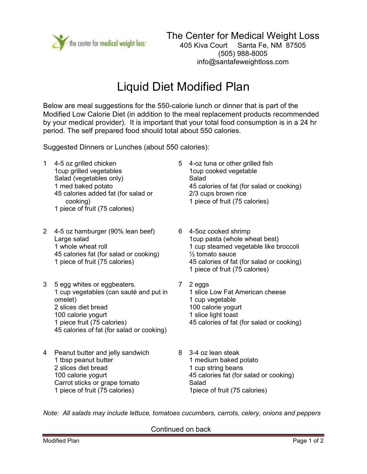

## Liquid Diet Modified Plan

Below are meal suggestions for the 550-calorie lunch or dinner that is part of the Modified Low Calorie Diet (in addition to the meal replacement products recommended by your medical provider). It is important that your total food consumption is in a 24 hr period. The self prepared food should total about 550 calories.

Suggested Dinners or Lunches (about 550 calories):

- 1 4-5 oz grilled chicken 1cup grilled vegetables Salad (vegetables only) 1 med baked potato 45 calories added fat (for salad or cooking) 1 piece of fruit (75 calories)
- 2 4-5 oz hamburger (90% lean beef) Large salad 1 whole wheat roll 45 calories fat (for salad or cooking) 1 piece of fruit (75 calories)
- 3 5 egg whites or eggbeaters. 1 cup vegetables (can sauté and put in omelet) 2 slices diet bread 100 calorie yogurt 1 piece fruit (75 calories) 45 calories of fat (for salad or cooking)
- 4 Peanut butter and jelly sandwich 1 tbsp peanut butter 2 slices diet bread 100 calorie yogurt Carrot sticks or grape tomato 1 piece of fruit (75 calories)
- 5 4-oz tuna or other grilled fish 1cup cooked vegetable Salad 45 calories of fat (for salad or cooking) 2/3 cups brown rice 1 piece of fruit (75 calories)
- 6 4-5oz cooked shrimp 1cup pasta (whole wheat best) 1 cup steamed vegetable like broccoli ½ tomato sauce 45 calories of fat (for salad or cooking) 1 piece of fruit (75 calories)
- 7 2 eggs 1 slice Low Fat American cheese 1 cup vegetable 100 calorie yogurt 1 slice light toast 45 calories of fat (for salad or cooking)
- 8 3-4 oz lean steak 1 medium baked potato 1 cup string beans 45 calories fat (for salad or cooking) Salad 1piece of fruit (75 calories)

*Note: All salads may include lettuce, tomatoes cucumbers, carrots, celery, onions and peppers* 

Continued on back